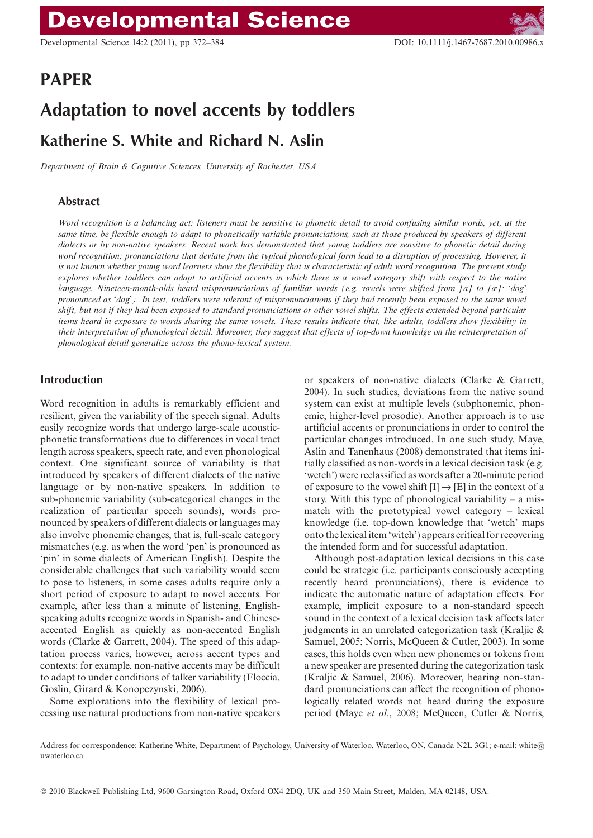## PAPER

# Adaptation to novel accents by toddlers Katherine S. White and Richard N. Aslin

Department of Brain & Cognitive Sciences, University of Rochester, USA

## Abstract

Word recognition is a balancing act: listeners must be sensitive to phonetic detail to avoid confusing similar words, yet, at the same time, be flexible enough to adapt to phonetically variable pronunciations, such as those produced by speakers of different dialects or by non-native speakers. Recent work has demonstrated that young toddlers are sensitive to phonetic detail during word recognition; pronunciations that deviate from the typical phonological form lead to a disruption of processing. However, it is not known whether young word learners show the flexibility that is characteristic of adult word recognition. The present study explores whether toddlers can adapt to artificial accents in which there is a vowel category shift with respect to the native language. Nineteen-month-olds heard mispronunciations of familiar words (e.g. vowels were shifted from [a] to [æ]: 'dog' pronounced as 'dag'). In test, toddlers were tolerant of mispronunciations if they had recently been exposed to the same vowel shift, but not if they had been exposed to standard pronunciations or other vowel shifts. The effects extended beyond particular items heard in exposure to words sharing the same vowels. These results indicate that, like adults, toddlers show flexibility in their interpretation of phonological detail. Moreover, they suggest that effects of top-down knowledge on the reinterpretation of phonological detail generalize across the phono-lexical system.

## Introduction

Word recognition in adults is remarkably efficient and resilient, given the variability of the speech signal. Adults easily recognize words that undergo large-scale acousticphonetic transformations due to differences in vocal tract length across speakers, speech rate, and even phonological context. One significant source of variability is that introduced by speakers of different dialects of the native language or by non-native speakers. In addition to sub-phonemic variability (sub-categorical changes in the realization of particular speech sounds), words pronounced by speakers of different dialects or languages may also involve phonemic changes, that is, full-scale category mismatches (e.g. as when the word 'pen' is pronounced as 'pin' in some dialects of American English). Despite the considerable challenges that such variability would seem to pose to listeners, in some cases adults require only a short period of exposure to adapt to novel accents. For example, after less than a minute of listening, Englishspeaking adults recognize words in Spanish- and Chineseaccented English as quickly as non-accented English words (Clarke & Garrett, 2004). The speed of this adaptation process varies, however, across accent types and contexts: for example, non-native accents may be difficult to adapt to under conditions of talker variability (Floccia, Goslin, Girard & Konopczynski, 2006).

Some explorations into the flexibility of lexical processing use natural productions from non-native speakers or speakers of non-native dialects (Clarke & Garrett, 2004). In such studies, deviations from the native sound system can exist at multiple levels (subphonemic, phonemic, higher-level prosodic). Another approach is to use artificial accents or pronunciations in order to control the particular changes introduced. In one such study, Maye, Aslin and Tanenhaus (2008) demonstrated that items initially classified as non-words in a lexical decision task (e.g. 'wetch') were reclassified as words after a 20-minute period of exposure to the vowel shift  $[I] \rightarrow [E]$  in the context of a story. With this type of phonological variability – a mismatch with the prototypical vowel category – lexical knowledge (i.e. top-down knowledge that 'wetch' maps onto the lexical item 'witch') appears critical for recovering the intended form and for successful adaptation.

Although post-adaptation lexical decisions in this case could be strategic (i.e. participants consciously accepting recently heard pronunciations), there is evidence to indicate the automatic nature of adaptation effects. For example, implicit exposure to a non-standard speech sound in the context of a lexical decision task affects later judgments in an unrelated categorization task (Kraljic & Samuel, 2005; Norris, McQueen & Cutler, 2003). In some cases, this holds even when new phonemes or tokens from a new speaker are presented during the categorization task (Kraljic & Samuel, 2006). Moreover, hearing non-standard pronunciations can affect the recognition of phonologically related words not heard during the exposure period (Maye et al., 2008; McQueen, Cutler & Norris,

Address for correspondence: Katherine White, Department of Psychology, University of Waterloo, Waterloo, ON, Canada N2L 3G1; e-mail: white@ uwaterloo.ca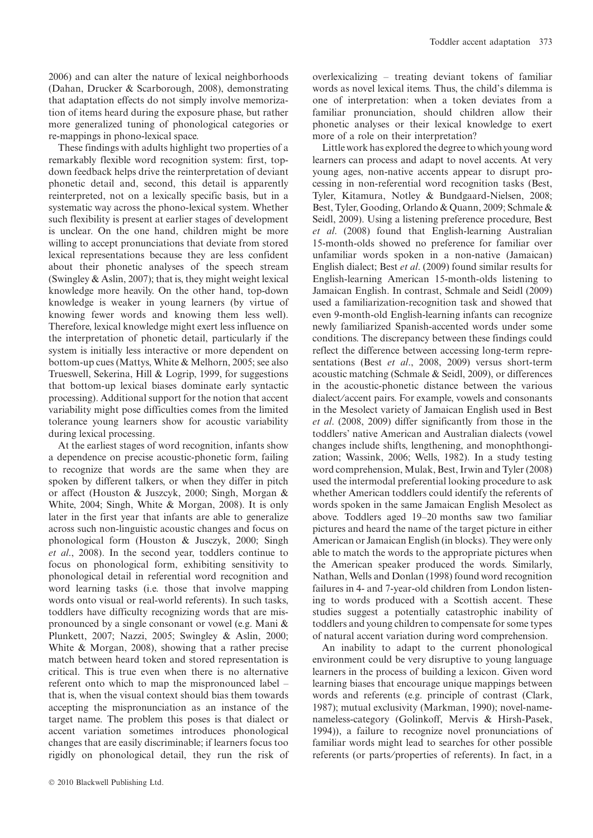2006) and can alter the nature of lexical neighborhoods (Dahan, Drucker & Scarborough, 2008), demonstrating that adaptation effects do not simply involve memorization of items heard during the exposure phase, but rather more generalized tuning of phonological categories or re-mappings in phono-lexical space.

These findings with adults highlight two properties of a remarkably flexible word recognition system: first, topdown feedback helps drive the reinterpretation of deviant phonetic detail and, second, this detail is apparently reinterpreted, not on a lexically specific basis, but in a systematic way across the phono-lexical system. Whether such flexibility is present at earlier stages of development is unclear. On the one hand, children might be more willing to accept pronunciations that deviate from stored lexical representations because they are less confident about their phonetic analyses of the speech stream (Swingley  $&$  Aslin, 2007); that is, they might weight lexical knowledge more heavily. On the other hand, top-down knowledge is weaker in young learners (by virtue of knowing fewer words and knowing them less well). Therefore, lexical knowledge might exert less influence on the interpretation of phonetic detail, particularly if the system is initially less interactive or more dependent on bottom-up cues (Mattys, White & Melhorn, 2005; see also Trueswell, Sekerina, Hill & Logrip, 1999, for suggestions that bottom-up lexical biases dominate early syntactic processing). Additional support for the notion that accent variability might pose difficulties comes from the limited tolerance young learners show for acoustic variability during lexical processing.

At the earliest stages of word recognition, infants show a dependence on precise acoustic-phonetic form, failing to recognize that words are the same when they are spoken by different talkers, or when they differ in pitch or affect (Houston & Juszcyk, 2000; Singh, Morgan & White, 2004; Singh, White & Morgan, 2008). It is only later in the first year that infants are able to generalize across such non-linguistic acoustic changes and focus on phonological form (Houston & Jusczyk, 2000; Singh et al., 2008). In the second year, toddlers continue to focus on phonological form, exhibiting sensitivity to phonological detail in referential word recognition and word learning tasks (i.e. those that involve mapping words onto visual or real-world referents). In such tasks, toddlers have difficulty recognizing words that are mispronounced by a single consonant or vowel (e.g. Mani & Plunkett, 2007; Nazzi, 2005; Swingley & Aslin, 2000; White & Morgan, 2008), showing that a rather precise match between heard token and stored representation is critical. This is true even when there is no alternative referent onto which to map the mispronounced label – that is, when the visual context should bias them towards accepting the mispronunciation as an instance of the target name. The problem this poses is that dialect or accent variation sometimes introduces phonological changes that are easily discriminable; if learners focus too rigidly on phonological detail, they run the risk of overlexicalizing – treating deviant tokens of familiar words as novel lexical items. Thus, the child's dilemma is one of interpretation: when a token deviates from a familiar pronunciation, should children allow their phonetic analyses or their lexical knowledge to exert more of a role on their interpretation?

Little work has explored the degree to which young word learners can process and adapt to novel accents. At very young ages, non-native accents appear to disrupt processing in non-referential word recognition tasks (Best, Tyler, Kitamura, Notley & Bundgaard-Nielsen, 2008; Best, Tyler, Gooding, Orlando & Quann, 2009; Schmale & Seidl, 2009). Using a listening preference procedure, Best et al. (2008) found that English-learning Australian 15-month-olds showed no preference for familiar over unfamiliar words spoken in a non-native (Jamaican) English dialect; Best et al. (2009) found similar results for English-learning American 15-month-olds listening to Jamaican English. In contrast, Schmale and Seidl (2009) used a familiarization-recognition task and showed that even 9-month-old English-learning infants can recognize newly familiarized Spanish-accented words under some conditions. The discrepancy between these findings could reflect the difference between accessing long-term representations (Best et al., 2008, 2009) versus short-term acoustic matching (Schmale & Seidl, 2009), or differences in the acoustic-phonetic distance between the various dialect⁄ accent pairs. For example, vowels and consonants in the Mesolect variety of Jamaican English used in Best et al. (2008, 2009) differ significantly from those in the toddlers' native American and Australian dialects (vowel changes include shifts, lengthening, and monophthongization; Wassink, 2006; Wells, 1982). In a study testing word comprehension, Mulak, Best, Irwin and Tyler (2008) used the intermodal preferential looking procedure to ask whether American toddlers could identify the referents of words spoken in the same Jamaican English Mesolect as above. Toddlers aged 19–20 months saw two familiar pictures and heard the name of the target picture in either American or Jamaican English (in blocks). They were only able to match the words to the appropriate pictures when the American speaker produced the words. Similarly, Nathan, Wells and Donlan (1998) found word recognition failures in 4- and 7-year-old children from London listening to words produced with a Scottish accent. These studies suggest a potentially catastrophic inability of toddlers and young children to compensate for some types of natural accent variation during word comprehension.

An inability to adapt to the current phonological environment could be very disruptive to young language learners in the process of building a lexicon. Given word learning biases that encourage unique mappings between words and referents (e.g. principle of contrast (Clark, 1987); mutual exclusivity (Markman, 1990); novel-namenameless-category (Golinkoff, Mervis & Hirsh-Pasek, 1994)), a failure to recognize novel pronunciations of familiar words might lead to searches for other possible referents (or parts⁄ properties of referents). In fact, in a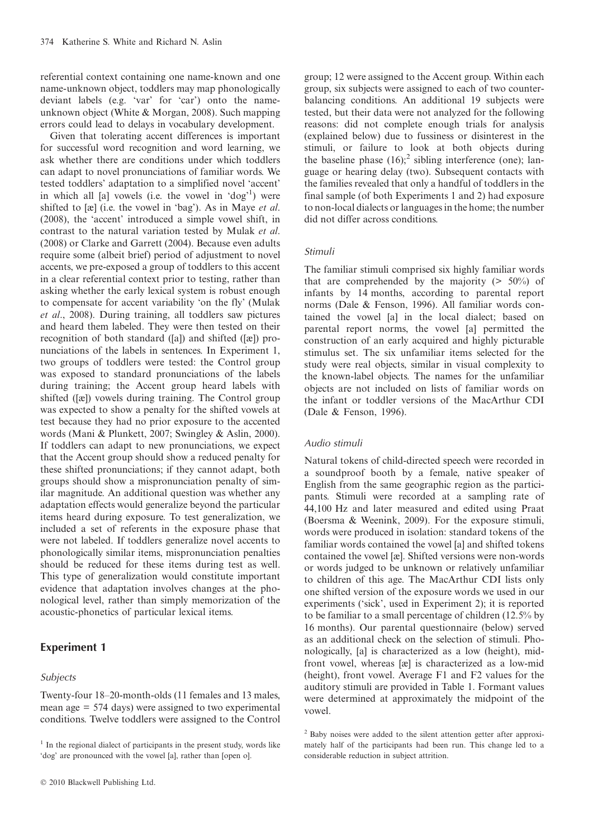referential context containing one name-known and one name-unknown object, toddlers may map phonologically deviant labels (e.g. 'var' for 'car') onto the nameunknown object (White & Morgan, 2008). Such mapping errors could lead to delays in vocabulary development.

Given that tolerating accent differences is important for successful word recognition and word learning, we ask whether there are conditions under which toddlers can adapt to novel pronunciations of familiar words. We tested toddlers' adaptation to a simplified novel 'accent' in which all [a] vowels (i.e. the vowel in 'dog'<sup>1</sup>) were shifted to [æ] (i.e. the vowel in 'bag'). As in Maye et al. (2008), the 'accent' introduced a simple vowel shift, in contrast to the natural variation tested by Mulak et al. (2008) or Clarke and Garrett (2004). Because even adults require some (albeit brief) period of adjustment to novel accents, we pre-exposed a group of toddlers to this accent in a clear referential context prior to testing, rather than asking whether the early lexical system is robust enough to compensate for accent variability 'on the fly' (Mulak et al., 2008). During training, all toddlers saw pictures and heard them labeled. They were then tested on their recognition of both standard ([a]) and shifted ([æ]) pronunciations of the labels in sentences. In Experiment 1, two groups of toddlers were tested: the Control group was exposed to standard pronunciations of the labels during training; the Accent group heard labels with shifted ([æ]) vowels during training. The Control group was expected to show a penalty for the shifted vowels at test because they had no prior exposure to the accented words (Mani & Plunkett, 2007; Swingley & Aslin, 2000). If toddlers can adapt to new pronunciations, we expect that the Accent group should show a reduced penalty for these shifted pronunciations; if they cannot adapt, both groups should show a mispronunciation penalty of similar magnitude. An additional question was whether any adaptation effects would generalize beyond the particular items heard during exposure. To test generalization, we included a set of referents in the exposure phase that were not labeled. If toddlers generalize novel accents to phonologically similar items, mispronunciation penalties should be reduced for these items during test as well. This type of generalization would constitute important evidence that adaptation involves changes at the phonological level, rather than simply memorization of the acoustic-phonetics of particular lexical items.

## Experiment 1

#### Subjects

Twenty-four 18–20-month-olds (11 females and 13 males, mean age = 574 days) were assigned to two experimental conditions. Twelve toddlers were assigned to the Control group; 12 were assigned to the Accent group. Within each group, six subjects were assigned to each of two counterbalancing conditions. An additional 19 subjects were tested, but their data were not analyzed for the following reasons: did not complete enough trials for analysis (explained below) due to fussiness or disinterest in the stimuli, or failure to look at both objects during the baseline phase  $(16)$ ;<sup>2</sup> sibling interference (one); language or hearing delay (two). Subsequent contacts with the families revealed that only a handful of toddlers in the final sample (of both Experiments 1 and 2) had exposure to non-local dialects or languages in the home; the number did not differ across conditions.

## Stimuli

The familiar stimuli comprised six highly familiar words that are comprehended by the majority  $(> 50\%)$  of infants by 14 months, according to parental report norms (Dale & Fenson, 1996). All familiar words contained the vowel [a] in the local dialect; based on parental report norms, the vowel [a] permitted the construction of an early acquired and highly picturable stimulus set. The six unfamiliar items selected for the study were real objects, similar in visual complexity to the known-label objects. The names for the unfamiliar objects are not included on lists of familiar words on the infant or toddler versions of the MacArthur CDI (Dale & Fenson, 1996).

#### Audio stimuli

Natural tokens of child-directed speech were recorded in a soundproof booth by a female, native speaker of English from the same geographic region as the participants. Stimuli were recorded at a sampling rate of 44,100 Hz and later measured and edited using Praat (Boersma & Weenink, 2009). For the exposure stimuli, words were produced in isolation: standard tokens of the familiar words contained the vowel [a] and shifted tokens contained the vowel [æ]. Shifted versions were non-words or words judged to be unknown or relatively unfamiliar to children of this age. The MacArthur CDI lists only one shifted version of the exposure words we used in our experiments ('sick', used in Experiment 2); it is reported to be familiar to a small percentage of children (12.5% by 16 months). Our parental questionnaire (below) served as an additional check on the selection of stimuli. Phonologically, [a] is characterized as a low (height), midfront vowel, whereas [æ] is characterized as a low-mid (height), front vowel. Average F1 and F2 values for the auditory stimuli are provided in Table 1. Formant values were determined at approximately the midpoint of the vowel.

 $1$  In the regional dialect of participants in the present study, words like 'dog' are pronounced with the vowel [a], rather than [open o].

<sup>2</sup> Baby noises were added to the silent attention getter after approximately half of the participants had been run. This change led to a considerable reduction in subject attrition.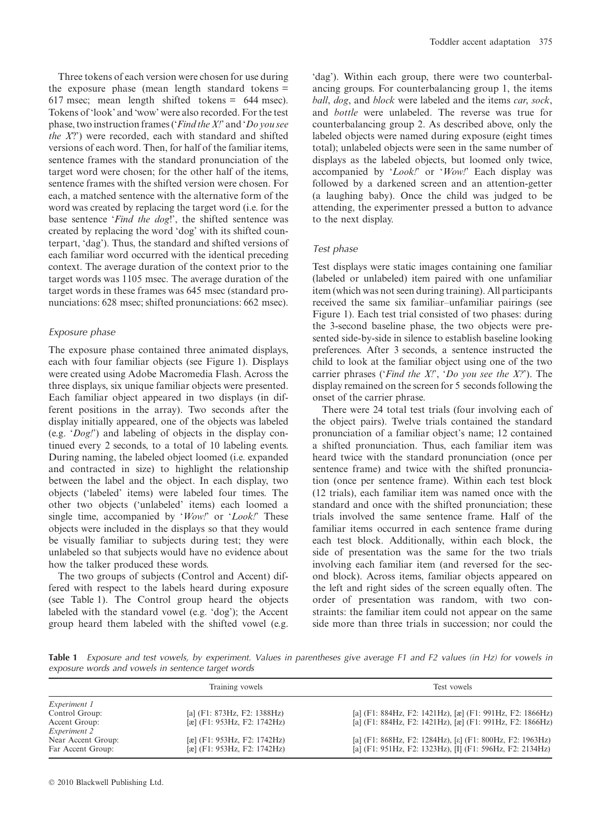Three tokens of each version were chosen for use during the exposure phase (mean length standard tokens = 617 msec; mean length shifted tokens = 644 msec). Tokens of 'look' and 'wow' were also recorded. For the test phase, two instruction frames ('Find the X!' and 'Do you see the  $X$ ?') were recorded, each with standard and shifted versions of each word. Then, for half of the familiar items, sentence frames with the standard pronunciation of the target word were chosen; for the other half of the items, sentence frames with the shifted version were chosen. For each, a matched sentence with the alternative form of the word was created by replacing the target word (i.e. for the base sentence 'Find the dog!', the shifted sentence was created by replacing the word 'dog' with its shifted counterpart, 'dag'). Thus, the standard and shifted versions of each familiar word occurred with the identical preceding context. The average duration of the context prior to the target words was 1105 msec. The average duration of the target words in these frames was 645 msec (standard pronunciations: 628 msec; shifted pronunciations: 662 msec).

## Exposure phase

The exposure phase contained three animated displays, each with four familiar objects (see Figure 1). Displays were created using Adobe Macromedia Flash. Across the three displays, six unique familiar objects were presented. Each familiar object appeared in two displays (in different positions in the array). Two seconds after the display initially appeared, one of the objects was labeled (e.g. 'Dog!') and labeling of objects in the display continued every 2 seconds, to a total of 10 labeling events. During naming, the labeled object loomed (i.e. expanded and contracted in size) to highlight the relationship between the label and the object. In each display, two objects ('labeled' items) were labeled four times. The other two objects ('unlabeled' items) each loomed a single time, accompanied by 'Wow!' or 'Look!' These objects were included in the displays so that they would be visually familiar to subjects during test; they were unlabeled so that subjects would have no evidence about how the talker produced these words.

The two groups of subjects (Control and Accent) differed with respect to the labels heard during exposure (see Table 1). The Control group heard the objects labeled with the standard vowel (e.g. 'dog'); the Accent group heard them labeled with the shifted vowel (e.g.

'dag'). Within each group, there were two counterbalancing groups. For counterbalancing group 1, the items ball, dog, and block were labeled and the items car, sock, and bottle were unlabeled. The reverse was true for counterbalancing group 2. As described above, only the labeled objects were named during exposure (eight times total); unlabeled objects were seen in the same number of displays as the labeled objects, but loomed only twice, accompanied by 'Look!' or 'Wow!' Each display was followed by a darkened screen and an attention-getter (a laughing baby). Once the child was judged to be attending, the experimenter pressed a button to advance to the next display.

#### Test phase

Test displays were static images containing one familiar (labeled or unlabeled) item paired with one unfamiliar item (which was not seen during training). All participants received the same six familiar–unfamiliar pairings (see Figure 1). Each test trial consisted of two phases: during the 3-second baseline phase, the two objects were presented side-by-side in silence to establish baseline looking preferences. After 3 seconds, a sentence instructed the child to look at the familiar object using one of the two carrier phrases ('Find the X!', 'Do you see the X?'). The display remained on the screen for 5 seconds following the onset of the carrier phrase.

There were 24 total test trials (four involving each of the object pairs). Twelve trials contained the standard pronunciation of a familiar object's name; 12 contained a shifted pronunciation. Thus, each familiar item was heard twice with the standard pronunciation (once per sentence frame) and twice with the shifted pronunciation (once per sentence frame). Within each test block (12 trials), each familiar item was named once with the standard and once with the shifted pronunciation; these trials involved the same sentence frame. Half of the familiar items occurred in each sentence frame during each test block. Additionally, within each block, the side of presentation was the same for the two trials involving each familiar item (and reversed for the second block). Across items, familiar objects appeared on the left and right sides of the screen equally often. The order of presentation was random, with two constraints: the familiar item could not appear on the same side more than three trials in succession; nor could the

Table 1 Exposure and test vowels, by experiment. Values in parentheses give average F1 and F2 values (in Hz) for vowels in exposure words and vowels in sentence target words

|                     | Training vowels                      | Test vowels                                                |
|---------------------|--------------------------------------|------------------------------------------------------------|
| <i>Experiment 1</i> |                                      |                                                            |
| Control Group:      | [a] $(F1: 873 Hz, F2: 1388 Hz)$      | [a] (F1: 884Hz, F2: 1421Hz), [æ] (F1: 991Hz, F2: 1866Hz)   |
| Accent Group:       | $[\text{æ}]$ (F1: 953Hz, F2: 1742Hz) | [a] (F1: 884Hz, F2: 1421Hz), [æ] (F1: 991Hz, F2: 1866Hz)   |
| <i>Experiment 2</i> |                                      |                                                            |
| Near Accent Group:  | $[\text{æ}]$ (F1: 953Hz, F2: 1742Hz) | [a] (F1: 868Hz, F2: 1284Hz), [a] (F1: 800Hz, F2: 1963Hz)   |
| Far Accent Group:   | $[\text{æ}]$ (F1: 953Hz, F2: 1742Hz) | [a] $(F1: 951Hz, F2: 1323Hz), [I] (F1: 596Hz, F2: 2134Hz)$ |

 $© 2010 Blackwell Publishing Ltd.$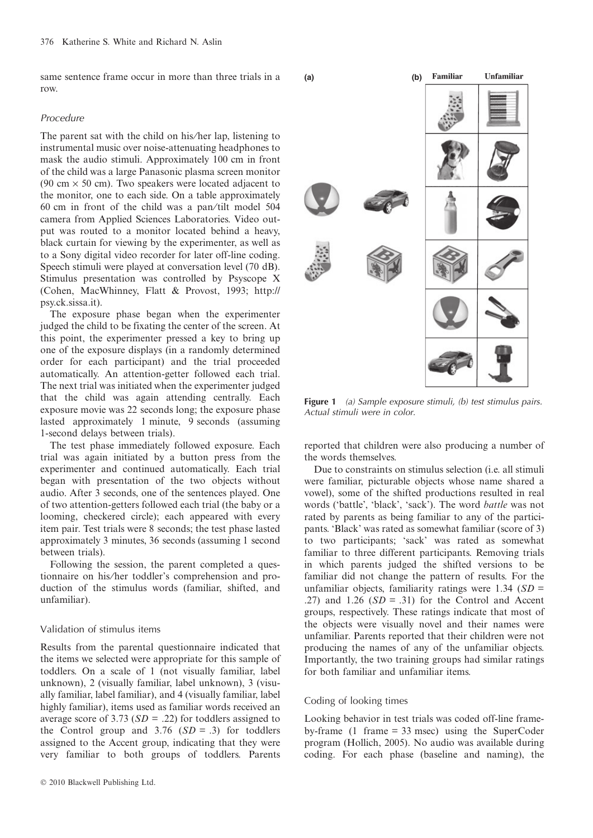same sentence frame occur in more than three trials in a row.

#### Procedure

The parent sat with the child on his⁄ her lap, listening to instrumental music over noise-attenuating headphones to mask the audio stimuli. Approximately 100 cm in front of the child was a large Panasonic plasma screen monitor (90 cm  $\times$  50 cm). Two speakers were located adjacent to the monitor, one to each side. On a table approximately 60 cm in front of the child was a pan ⁄tilt model 504 camera from Applied Sciences Laboratories. Video output was routed to a monitor located behind a heavy, black curtain for viewing by the experimenter, as well as to a Sony digital video recorder for later off-line coding. Speech stimuli were played at conversation level (70 dB). Stimulus presentation was controlled by Psyscope X (Cohen, MacWhinney, Flatt & Provost, 1993; http:// psy.ck.sissa.it).

The exposure phase began when the experimenter judged the child to be fixating the center of the screen. At this point, the experimenter pressed a key to bring up one of the exposure displays (in a randomly determined order for each participant) and the trial proceeded automatically. An attention-getter followed each trial. The next trial was initiated when the experimenter judged that the child was again attending centrally. Each exposure movie was 22 seconds long; the exposure phase lasted approximately 1 minute, 9 seconds (assuming 1-second delays between trials).

The test phase immediately followed exposure. Each trial was again initiated by a button press from the experimenter and continued automatically. Each trial began with presentation of the two objects without audio. After 3 seconds, one of the sentences played. One of two attention-getters followed each trial (the baby or a looming, checkered circle); each appeared with every item pair. Test trials were 8 seconds; the test phase lasted approximately 3 minutes, 36 seconds (assuming 1 second between trials).

Following the session, the parent completed a questionnaire on his⁄ her toddler's comprehension and production of the stimulus words (familiar, shifted, and unfamiliar).

#### Validation of stimulus items

Results from the parental questionnaire indicated that the items we selected were appropriate for this sample of toddlers. On a scale of 1 (not visually familiar, label unknown), 2 (visually familiar, label unknown), 3 (visually familiar, label familiar), and 4 (visually familiar, label highly familiar), items used as familiar words received an average score of 3.73 ( $SD = .22$ ) for toddlers assigned to the Control group and  $3.76$  (SD = .3) for toddlers assigned to the Accent group, indicating that they were very familiar to both groups of toddlers. Parents



Figure 1 (a) Sample exposure stimuli, (b) test stimulus pairs. Actual stimuli were in color.

reported that children were also producing a number of the words themselves.

Due to constraints on stimulus selection (i.e. all stimuli were familiar, picturable objects whose name shared a vowel), some of the shifted productions resulted in real words ('battle', 'black', 'sack'). The word battle was not rated by parents as being familiar to any of the participants. 'Black' was rated as somewhat familiar (score of 3) to two participants; 'sack' was rated as somewhat familiar to three different participants. Removing trials in which parents judged the shifted versions to be familiar did not change the pattern of results. For the unfamiliar objects, familiarity ratings were 1.34 ( $SD =$ .27) and 1.26  $(SD = .31)$  for the Control and Accent groups, respectively. These ratings indicate that most of the objects were visually novel and their names were unfamiliar. Parents reported that their children were not producing the names of any of the unfamiliar objects. Importantly, the two training groups had similar ratings for both familiar and unfamiliar items.

## Coding of looking times

Looking behavior in test trials was coded off-line frameby-frame (1 frame = 33 msec) using the SuperCoder program (Hollich, 2005). No audio was available during coding. For each phase (baseline and naming), the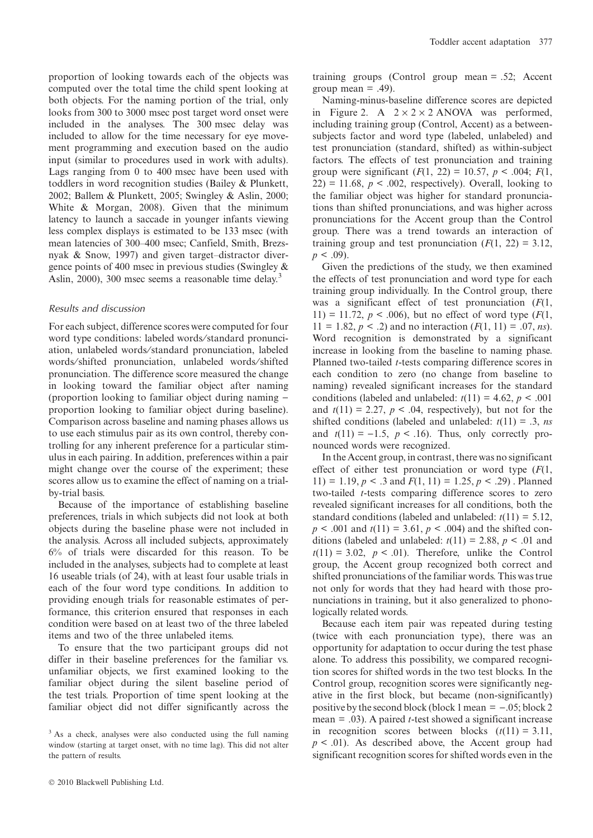training groups (Control group mean = .52; Accent

group mean  $= .49$ ). Naming-minus-baseline difference scores are depicted in Figure 2. A  $2 \times 2 \times 2$  ANOVA was performed, including training group (Control, Accent) as a betweensubjects factor and word type (labeled, unlabeled) and test pronunciation (standard, shifted) as within-subject factors. The effects of test pronunciation and training group were significant  $(F(1, 22) = 10.57, p < .004; F(1,$  $(22) = 11.68$ ,  $p < .002$ , respectively). Overall, looking to the familiar object was higher for standard pronunciations than shifted pronunciations, and was higher across pronunciations for the Accent group than the Control group. There was a trend towards an interaction of training group and test pronunciation  $(F(1, 22) = 3.12,$  $p < .09$ ).

> Given the predictions of the study, we then examined the effects of test pronunciation and word type for each training group individually. In the Control group, there was a significant effect of test pronunciation  $(F(1,$ 11) = 11.72,  $p < .006$ , but no effect of word type ( $F(1, 1)$ )  $11 = 1.82, p < .2$ ) and no interaction  $(F(1, 11) = .07, ns)$ . Word recognition is demonstrated by a significant increase in looking from the baseline to naming phase. Planned two-tailed t-tests comparing difference scores in each condition to zero (no change from baseline to naming) revealed significant increases for the standard conditions (labeled and unlabeled:  $t(11) = 4.62$ ,  $p < .001$ and  $t(11) = 2.27$ ,  $p < .04$ , respectively), but not for the shifted conditions (labeled and unlabeled:  $t(11) = .3$ , ns and  $t(11) = -1.5$ ,  $p < .16$ ). Thus, only correctly pronounced words were recognized.

> In the Accent group, in contrast, there was no significant effect of either test pronunciation or word type  $(F(1,$ 11) = 1.19,  $p < .3$  and  $F(1, 11) = 1.25$ ,  $p < .29$ ). Planned two-tailed t-tests comparing difference scores to zero revealed significant increases for all conditions, both the standard conditions (labeled and unlabeled:  $t(11) = 5.12$ ,  $p < .001$  and  $t(11) = 3.61, p < .004$ ) and the shifted conditions (labeled and unlabeled:  $t(11) = 2.88$ ,  $p < .01$  and  $t(11) = 3.02$ ,  $p < .01$ ). Therefore, unlike the Control group, the Accent group recognized both correct and shifted pronunciations of the familiar words. This was true not only for words that they had heard with those pronunciations in training, but it also generalized to phonologically related words.

> Because each item pair was repeated during testing (twice with each pronunciation type), there was an opportunity for adaptation to occur during the test phase alone. To address this possibility, we compared recognition scores for shifted words in the two test blocks. In the Control group, recognition scores were significantly negative in the first block, but became (non-significantly) positive by the second block (block 1 mean  $= -0.05$ ; block 2 mean  $= .03$ ). A paired *t*-test showed a significant increase in recognition scores between blocks  $(t(11) = 3.11)$ ,  $p < .01$ ). As described above, the Accent group had significant recognition scores for shifted words even in the

proportion of looking towards each of the objects was computed over the total time the child spent looking at both objects. For the naming portion of the trial, only looks from 300 to 3000 msec post target word onset were included in the analyses. The 300 msec delay was included to allow for the time necessary for eye movement programming and execution based on the audio input (similar to procedures used in work with adults). Lags ranging from 0 to 400 msec have been used with toddlers in word recognition studies (Bailey & Plunkett, 2002; Ballem & Plunkett, 2005; Swingley & Aslin, 2000; White & Morgan, 2008). Given that the minimum latency to launch a saccade in younger infants viewing less complex displays is estimated to be 133 msec (with mean latencies of 300–400 msec; Canfield, Smith, Brezsnyak & Snow, 1997) and given target–distractor divergence points of 400 msec in previous studies (Swingley & Aslin, 2000), 300 msec seems a reasonable time delay.<sup>3</sup>

## Results and discussion

For each subject, difference scores were computed for four word type conditions: labeled words⁄standard pronunciation, unlabeled words⁄standard pronunciation, labeled words⁄shifted pronunciation, unlabeled words⁄shifted pronunciation. The difference score measured the change in looking toward the familiar object after naming (proportion looking to familiar object during naming ) proportion looking to familiar object during baseline). Comparison across baseline and naming phases allows us to use each stimulus pair as its own control, thereby controlling for any inherent preference for a particular stimulus in each pairing. In addition, preferences within a pair might change over the course of the experiment; these scores allow us to examine the effect of naming on a trialby-trial basis.

Because of the importance of establishing baseline preferences, trials in which subjects did not look at both objects during the baseline phase were not included in the analysis. Across all included subjects, approximately 6% of trials were discarded for this reason. To be included in the analyses, subjects had to complete at least 16 useable trials (of 24), with at least four usable trials in each of the four word type conditions. In addition to providing enough trials for reasonable estimates of performance, this criterion ensured that responses in each condition were based on at least two of the three labeled items and two of the three unlabeled items.

To ensure that the two participant groups did not differ in their baseline preferences for the familiar vs. unfamiliar objects, we first examined looking to the familiar object during the silent baseline period of the test trials. Proportion of time spent looking at the familiar object did not differ significantly across the

<sup>&</sup>lt;sup>3</sup> As a check, analyses were also conducted using the full naming window (starting at target onset, with no time lag). This did not alter the pattern of results.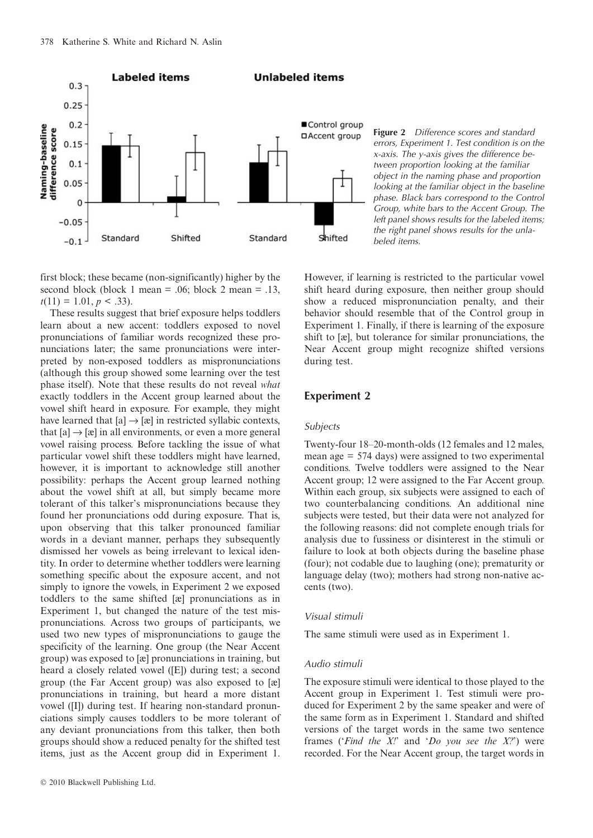

Figure 2 Difference scores and standard errors, Experiment 1. Test condition is on the x-axis. The y-axis gives the difference between proportion looking at the familiar object in the naming phase and proportion looking at the familiar object in the baseline phase. Black bars correspond to the Control Group, white bars to the Accent Group. The left panel shows results for the labeled items; the right panel shows results for the unlabeled items.

first block; these became (non-significantly) higher by the second block (block 1 mean =  $.06$ ; block 2 mean =  $.13$ ,  $t(11) = 1.01, p < .33$ ).

These results suggest that brief exposure helps toddlers learn about a new accent: toddlers exposed to novel pronunciations of familiar words recognized these pronunciations later; the same pronunciations were interpreted by non-exposed toddlers as mispronunciations (although this group showed some learning over the test phase itself). Note that these results do not reveal what exactly toddlers in the Accent group learned about the vowel shift heard in exposure. For example, they might have learned that  $[a] \rightarrow [x]$  in restricted syllabic contexts, that  $[a] \rightarrow [x]$  in all environments, or even a more general vowel raising process. Before tackling the issue of what particular vowel shift these toddlers might have learned, however, it is important to acknowledge still another possibility: perhaps the Accent group learned nothing about the vowel shift at all, but simply became more tolerant of this talker's mispronunciations because they found her pronunciations odd during exposure. That is, upon observing that this talker pronounced familiar words in a deviant manner, perhaps they subsequently dismissed her vowels as being irrelevant to lexical identity. In order to determine whether toddlers were learning something specific about the exposure accent, and not simply to ignore the vowels, in Experiment 2 we exposed toddlers to the same shifted [æ] pronunciations as in Experiment 1, but changed the nature of the test mispronunciations. Across two groups of participants, we used two new types of mispronunciations to gauge the specificity of the learning. One group (the Near Accent group) was exposed to [æ] pronunciations in training, but heard a closely related vowel ([E]) during test; a second group (the Far Accent group) was also exposed to [æ] pronunciations in training, but heard a more distant vowel ([I]) during test. If hearing non-standard pronunciations simply causes toddlers to be more tolerant of any deviant pronunciations from this talker, then both groups should show a reduced penalty for the shifted test items, just as the Accent group did in Experiment 1.

However, if learning is restricted to the particular vowel shift heard during exposure, then neither group should show a reduced mispronunciation penalty, and their behavior should resemble that of the Control group in Experiment 1. Finally, if there is learning of the exposure shift to [æ], but tolerance for similar pronunciations, the Near Accent group might recognize shifted versions during test.

## Experiment 2

#### Subjects

Twenty-four 18–20-month-olds (12 females and 12 males, mean age = 574 days) were assigned to two experimental conditions. Twelve toddlers were assigned to the Near Accent group; 12 were assigned to the Far Accent group. Within each group, six subjects were assigned to each of two counterbalancing conditions. An additional nine subjects were tested, but their data were not analyzed for the following reasons: did not complete enough trials for analysis due to fussiness or disinterest in the stimuli or failure to look at both objects during the baseline phase (four); not codable due to laughing (one); prematurity or language delay (two); mothers had strong non-native accents (two).

#### Visual stimuli

The same stimuli were used as in Experiment 1.

#### Audio stimuli

The exposure stimuli were identical to those played to the Accent group in Experiment 1. Test stimuli were produced for Experiment 2 by the same speaker and were of the same form as in Experiment 1. Standard and shifted versions of the target words in the same two sentence frames ('Find the X!' and 'Do you see the X?') were recorded. For the Near Accent group, the target words in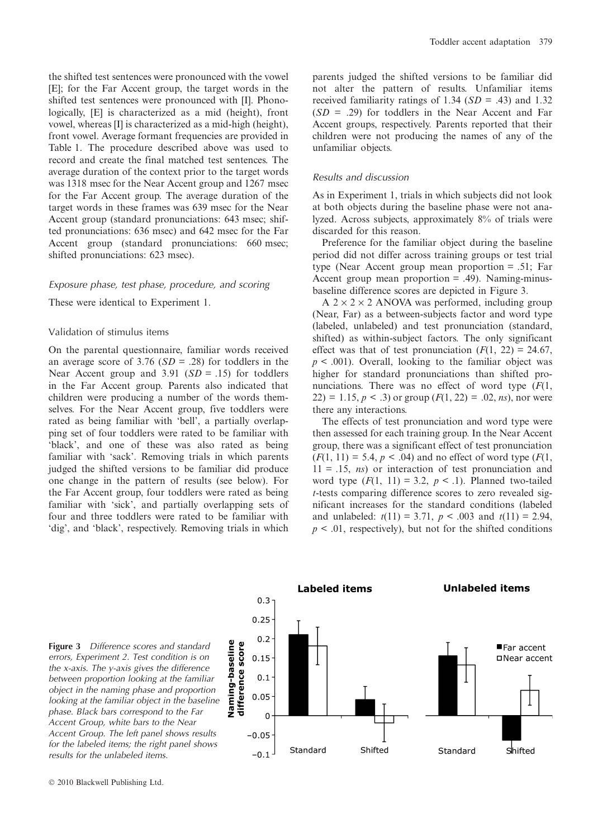the shifted test sentences were pronounced with the vowel [E]; for the Far Accent group, the target words in the shifted test sentences were pronounced with [I]. Phonologically, [E] is characterized as a mid (height), front vowel, whereas [I] is characterized as a mid-high (height), front vowel. Average formant frequencies are provided in Table 1. The procedure described above was used to record and create the final matched test sentences. The average duration of the context prior to the target words was 1318 msec for the Near Accent group and 1267 msec for the Far Accent group. The average duration of the target words in these frames was 639 msec for the Near Accent group (standard pronunciations: 643 msec; shifted pronunciations: 636 msec) and 642 msec for the Far Accent group (standard pronunciations: 660 msec; shifted pronunciations: 623 msec).

#### Exposure phase, test phase, procedure, and scoring

These were identical to Experiment 1.

### Validation of stimulus items

On the parental questionnaire, familiar words received an average score of 3.76 ( $SD = .28$ ) for toddlers in the Near Accent group and 3.91 ( $SD = .15$ ) for toddlers in the Far Accent group. Parents also indicated that children were producing a number of the words themselves. For the Near Accent group, five toddlers were rated as being familiar with 'bell', a partially overlapping set of four toddlers were rated to be familiar with 'black', and one of these was also rated as being familiar with 'sack'. Removing trials in which parents judged the shifted versions to be familiar did produce one change in the pattern of results (see below). For the Far Accent group, four toddlers were rated as being familiar with 'sick', and partially overlapping sets of four and three toddlers were rated to be familiar with 'dig', and 'black', respectively. Removing trials in which parents judged the shifted versions to be familiar did not alter the pattern of results. Unfamiliar items received familiarity ratings of 1.34 ( $SD = .43$ ) and 1.32  $(SD = .29)$  for toddlers in the Near Accent and Far Accent groups, respectively. Parents reported that their children were not producing the names of any of the unfamiliar objects.

#### Results and discussion

As in Experiment 1, trials in which subjects did not look at both objects during the baseline phase were not analyzed. Across subjects, approximately 8% of trials were discarded for this reason.

Preference for the familiar object during the baseline period did not differ across training groups or test trial type (Near Accent group mean proportion = .51; Far Accent group mean proportion = .49). Naming-minusbaseline difference scores are depicted in Figure 3.

A  $2 \times 2 \times 2$  ANOVA was performed, including group (Near, Far) as a between-subjects factor and word type (labeled, unlabeled) and test pronunciation (standard, shifted) as within-subject factors. The only significant effect was that of test pronunciation  $(F(1, 22) = 24.67,$  $p < .001$ ). Overall, looking to the familiar object was higher for standard pronunciations than shifted pronunciations. There was no effect of word type  $(F(1,$  $(22) = 1.15, p < .3$  or group  $(F(1, 22) = .02, ns)$ , nor were there any interactions.

The effects of test pronunciation and word type were then assessed for each training group. In the Near Accent group, there was a significant effect of test pronunciation  $(F(1, 11) = 5.4, p < .04)$  and no effect of word type  $(F(1, 11))$  $11 = .15$ ,  $ns$ ) or interaction of test pronunciation and word type  $(F(1, 11) = 3.2, p < .1)$ . Planned two-tailed t-tests comparing difference scores to zero revealed significant increases for the standard conditions (labeled and unlabeled:  $t(11) = 3.71$ ,  $p < .003$  and  $t(11) = 2.94$ ,  $p \leq 0.01$ , respectively), but not for the shifted conditions



errors, Experiment 2. Test condition is on the x-axis. The y-axis gives the difference between proportion looking at the familiar object in the naming phase and proportion looking at the familiar object in the baseline phase. Black bars correspond to the Far Accent Group, white bars to the Near Accent Group. The left panel shows results for the labeled items; the right panel shows results for the unlabeled items.

Figure 3 Difference scores and standard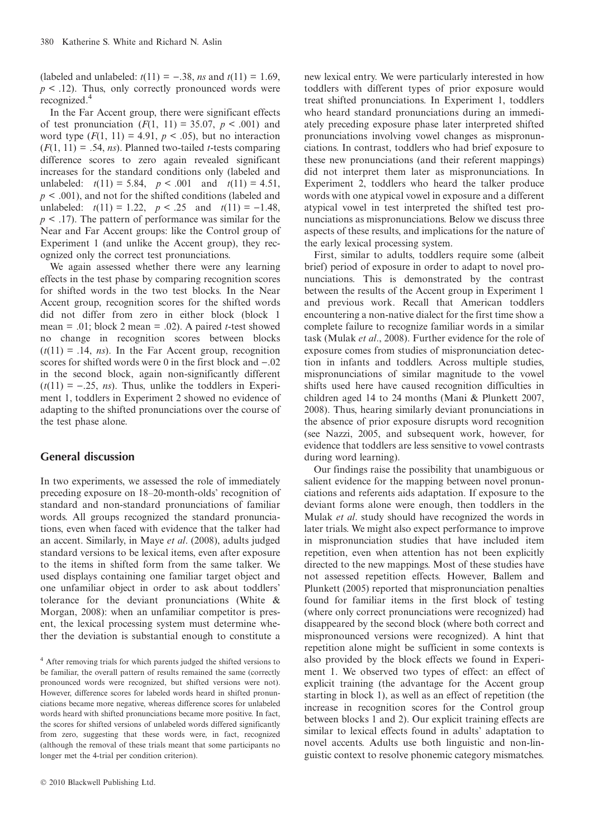(labeled and unlabeled:  $t(11) = -.38$ , ns and  $t(11) = 1.69$ ,  $p \leq 0.12$ ). Thus, only correctly pronounced words were recognized.<sup>4</sup>

In the Far Accent group, there were significant effects of test pronunciation  $(F(1, 11) = 35.07, p < .001)$  and word type  $(F(1, 11) = 4.91, p < .05)$ , but no interaction  $(F(1, 11) = .54, ns)$ . Planned two-tailed *t*-tests comparing difference scores to zero again revealed significant increases for the standard conditions only (labeled and unlabeled:  $t(11) = 5.84$ ,  $p < .001$  and  $t(11) = 4.51$ ,  $p < .001$ ), and not for the shifted conditions (labeled and unlabeled:  $t(11) = 1.22$ ,  $p < .25$  and  $t(11) = -1.48$ ,  $p \leq 0.17$ . The pattern of performance was similar for the Near and Far Accent groups: like the Control group of Experiment 1 (and unlike the Accent group), they recognized only the correct test pronunciations.

We again assessed whether there were any learning effects in the test phase by comparing recognition scores for shifted words in the two test blocks. In the Near Accent group, recognition scores for the shifted words did not differ from zero in either block (block 1 mean = .01; block 2 mean = .02). A paired *t*-test showed no change in recognition scores between blocks  $(t(11) = .14, ns)$ . In the Far Accent group, recognition scores for shifted words were 0 in the first block and  $-.02$ in the second block, again non-significantly different  $(t(11) = -.25, ns)$ . Thus, unlike the toddlers in Experiment 1, toddlers in Experiment 2 showed no evidence of adapting to the shifted pronunciations over the course of the test phase alone.

## General discussion

In two experiments, we assessed the role of immediately preceding exposure on 18–20-month-olds' recognition of standard and non-standard pronunciations of familiar words. All groups recognized the standard pronunciations, even when faced with evidence that the talker had an accent. Similarly, in Maye et al. (2008), adults judged standard versions to be lexical items, even after exposure to the items in shifted form from the same talker. We used displays containing one familiar target object and one unfamiliar object in order to ask about toddlers' tolerance for the deviant pronunciations (White & Morgan, 2008): when an unfamiliar competitor is present, the lexical processing system must determine whether the deviation is substantial enough to constitute a new lexical entry. We were particularly interested in how toddlers with different types of prior exposure would treat shifted pronunciations. In Experiment 1, toddlers who heard standard pronunciations during an immediately preceding exposure phase later interpreted shifted pronunciations involving vowel changes as mispronunciations. In contrast, toddlers who had brief exposure to these new pronunciations (and their referent mappings) did not interpret them later as mispronunciations. In Experiment 2, toddlers who heard the talker produce words with one atypical vowel in exposure and a different atypical vowel in test interpreted the shifted test pronunciations as mispronunciations. Below we discuss three aspects of these results, and implications for the nature of the early lexical processing system.

First, similar to adults, toddlers require some (albeit brief) period of exposure in order to adapt to novel pronunciations. This is demonstrated by the contrast between the results of the Accent group in Experiment 1 and previous work. Recall that American toddlers encountering a non-native dialect for the first time show a complete failure to recognize familiar words in a similar task (Mulak et al., 2008). Further evidence for the role of exposure comes from studies of mispronunciation detection in infants and toddlers. Across multiple studies, mispronunciations of similar magnitude to the vowel shifts used here have caused recognition difficulties in children aged 14 to 24 months (Mani & Plunkett 2007, 2008). Thus, hearing similarly deviant pronunciations in the absence of prior exposure disrupts word recognition (see Nazzi, 2005, and subsequent work, however, for evidence that toddlers are less sensitive to vowel contrasts during word learning).

Our findings raise the possibility that unambiguous or salient evidence for the mapping between novel pronunciations and referents aids adaptation. If exposure to the deviant forms alone were enough, then toddlers in the Mulak et al. study should have recognized the words in later trials. We might also expect performance to improve in mispronunciation studies that have included item repetition, even when attention has not been explicitly directed to the new mappings. Most of these studies have not assessed repetition effects. However, Ballem and Plunkett (2005) reported that mispronunciation penalties found for familiar items in the first block of testing (where only correct pronunciations were recognized) had disappeared by the second block (where both correct and mispronounced versions were recognized). A hint that repetition alone might be sufficient in some contexts is also provided by the block effects we found in Experiment 1. We observed two types of effect: an effect of explicit training (the advantage for the Accent group starting in block 1), as well as an effect of repetition (the increase in recognition scores for the Control group between blocks 1 and 2). Our explicit training effects are similar to lexical effects found in adults' adaptation to novel accents. Adults use both linguistic and non-linguistic context to resolve phonemic category mismatches.

<sup>4</sup> After removing trials for which parents judged the shifted versions to be familiar, the overall pattern of results remained the same (correctly pronounced words were recognized, but shifted versions were not). However, difference scores for labeled words heard in shifted pronunciations became more negative, whereas difference scores for unlabeled words heard with shifted pronunciations became more positive. In fact, the scores for shifted versions of unlabeled words differed significantly from zero, suggesting that these words were, in fact, recognized (although the removal of these trials meant that some participants no longer met the 4-trial per condition criterion).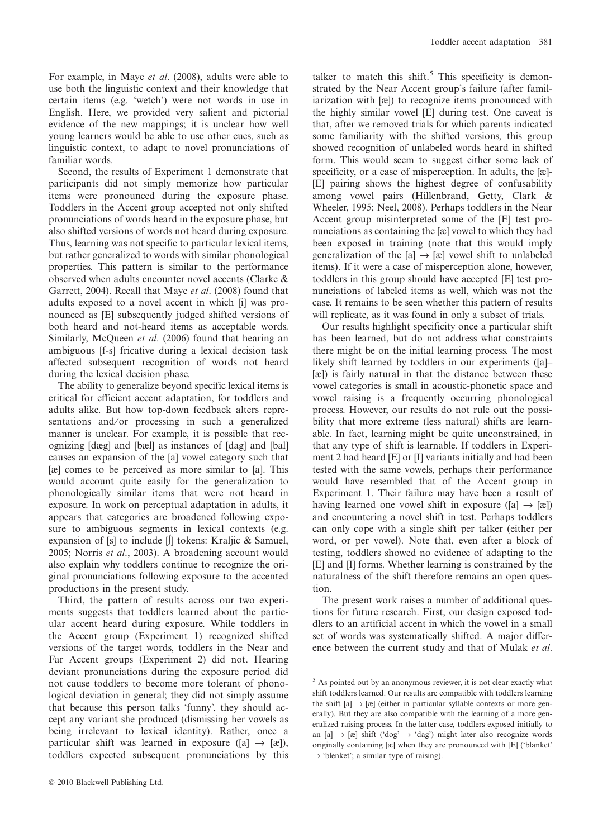For example, in Maye et al. (2008), adults were able to use both the linguistic context and their knowledge that certain items (e.g. 'wetch') were not words in use in English. Here, we provided very salient and pictorial evidence of the new mappings; it is unclear how well young learners would be able to use other cues, such as linguistic context, to adapt to novel pronunciations of familiar words.

Second, the results of Experiment 1 demonstrate that participants did not simply memorize how particular items were pronounced during the exposure phase. Toddlers in the Accent group accepted not only shifted pronunciations of words heard in the exposure phase, but also shifted versions of words not heard during exposure. Thus, learning was not specific to particular lexical items, but rather generalized to words with similar phonological properties. This pattern is similar to the performance observed when adults encounter novel accents (Clarke & Garrett, 2004). Recall that Maye et al. (2008) found that adults exposed to a novel accent in which [i] was pronounced as [E] subsequently judged shifted versions of both heard and not-heard items as acceptable words. Similarly, McQueen *et al.* (2006) found that hearing an ambiguous [f-s] fricative during a lexical decision task affected subsequent recognition of words not heard during the lexical decision phase.

The ability to generalize beyond specific lexical items is critical for efficient accent adaptation, for toddlers and adults alike. But how top-down feedback alters representations and/or processing in such a generalized manner is unclear. For example, it is possible that recognizing [dæg] and [bæl] as instances of [dag] and [bal] causes an expansion of the [a] vowel category such that [æ] comes to be perceived as more similar to [a]. This would account quite easily for the generalization to phonologically similar items that were not heard in exposure. In work on perceptual adaptation in adults, it appears that categories are broadened following exposure to ambiguous segments in lexical contexts (e.g. expansion of [s] to include [J] tokens: Kraljic & Samuel, 2005; Norris et al., 2003). A broadening account would also explain why toddlers continue to recognize the original pronunciations following exposure to the accented productions in the present study.

Third, the pattern of results across our two experiments suggests that toddlers learned about the particular accent heard during exposure. While toddlers in the Accent group (Experiment 1) recognized shifted versions of the target words, toddlers in the Near and Far Accent groups (Experiment 2) did not. Hearing deviant pronunciations during the exposure period did not cause toddlers to become more tolerant of phonological deviation in general; they did not simply assume that because this person talks 'funny', they should accept any variant she produced (dismissing her vowels as being irrelevant to lexical identity). Rather, once a particular shift was learned in exposure ([a]  $\rightarrow$  [æ]), toddlers expected subsequent pronunciations by this talker to match this shift.<sup>5</sup> This specificity is demonstrated by the Near Accent group's failure (after familiarization with [æ]) to recognize items pronounced with the highly similar vowel [E] during test. One caveat is that, after we removed trials for which parents indicated some familiarity with the shifted versions, this group showed recognition of unlabeled words heard in shifted form. This would seem to suggest either some lack of specificity, or a case of misperception. In adults, the [æ]- [E] pairing shows the highest degree of confusability among vowel pairs (Hillenbrand, Getty, Clark & Wheeler, 1995; Neel, 2008). Perhaps toddlers in the Near Accent group misinterpreted some of the [E] test pronunciations as containing the [æ] vowel to which they had been exposed in training (note that this would imply generalization of the [a]  $\rightarrow$  [æ] vowel shift to unlabeled items). If it were a case of misperception alone, however, toddlers in this group should have accepted [E] test pronunciations of labeled items as well, which was not the case. It remains to be seen whether this pattern of results will replicate, as it was found in only a subset of trials.

Our results highlight specificity once a particular shift has been learned, but do not address what constraints there might be on the initial learning process. The most likely shift learned by toddlers in our experiments ([a]– [æ]) is fairly natural in that the distance between these vowel categories is small in acoustic-phonetic space and vowel raising is a frequently occurring phonological process. However, our results do not rule out the possibility that more extreme (less natural) shifts are learnable. In fact, learning might be quite unconstrained, in that any type of shift is learnable. If toddlers in Experiment 2 had heard [E] or [I] variants initially and had been tested with the same vowels, perhaps their performance would have resembled that of the Accent group in Experiment 1. Their failure may have been a result of having learned one vowel shift in exposure ([a]  $\rightarrow$  [æ]) and encountering a novel shift in test. Perhaps toddlers can only cope with a single shift per talker (either per word, or per vowel). Note that, even after a block of testing, toddlers showed no evidence of adapting to the [E] and [I] forms. Whether learning is constrained by the naturalness of the shift therefore remains an open question.

The present work raises a number of additional questions for future research. First, our design exposed toddlers to an artificial accent in which the vowel in a small set of words was systematically shifted. A major difference between the current study and that of Mulak et al.

 $5$  As pointed out by an anonymous reviewer, it is not clear exactly what shift toddlers learned. Our results are compatible with toddlers learning the shift  $[a] \rightarrow [x]$  (either in particular syllable contexts or more generally). But they are also compatible with the learning of a more generalized raising process. In the latter case, toddlers exposed initially to an [a]  $\rightarrow$  [æ] shift ('dog'  $\rightarrow$  'dag') might later also recognize words originally containing [æ] when they are pronounced with [E] ('blanket'  $\rightarrow$  'blenket'; a similar type of raising).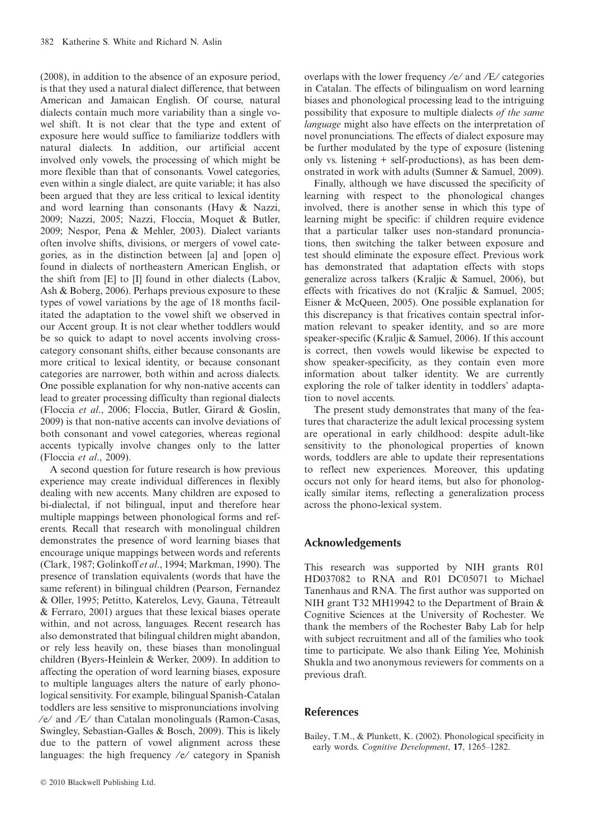(2008), in addition to the absence of an exposure period, is that they used a natural dialect difference, that between American and Jamaican English. Of course, natural dialects contain much more variability than a single vowel shift. It is not clear that the type and extent of exposure here would suffice to familiarize toddlers with natural dialects. In addition, our artificial accent involved only vowels, the processing of which might be more flexible than that of consonants. Vowel categories, even within a single dialect, are quite variable; it has also been argued that they are less critical to lexical identity and word learning than consonants (Havy & Nazzi, 2009; Nazzi, 2005; Nazzi, Floccia, Moquet & Butler, 2009; Nespor, Pena & Mehler, 2003). Dialect variants often involve shifts, divisions, or mergers of vowel categories, as in the distinction between [a] and [open o] found in dialects of northeastern American English, or the shift from [E] to [I] found in other dialects (Labov, Ash & Boberg, 2006). Perhaps previous exposure to these types of vowel variations by the age of 18 months facilitated the adaptation to the vowel shift we observed in our Accent group. It is not clear whether toddlers would be so quick to adapt to novel accents involving crosscategory consonant shifts, either because consonants are more critical to lexical identity, or because consonant categories are narrower, both within and across dialects. One possible explanation for why non-native accents can lead to greater processing difficulty than regional dialects (Floccia et al., 2006; Floccia, Butler, Girard & Goslin, 2009) is that non-native accents can involve deviations of both consonant and vowel categories, whereas regional accents typically involve changes only to the latter (Floccia et al., 2009).

A second question for future research is how previous experience may create individual differences in flexibly dealing with new accents. Many children are exposed to bi-dialectal, if not bilingual, input and therefore hear multiple mappings between phonological forms and referents. Recall that research with monolingual children demonstrates the presence of word learning biases that encourage unique mappings between words and referents (Clark, 1987; Golinkoff et al., 1994; Markman, 1990). The presence of translation equivalents (words that have the same referent) in bilingual children (Pearson, Fernandez & Oller, 1995; Petitto, Katerelos, Levy, Gauna, Tétreault & Ferraro, 2001) argues that these lexical biases operate within, and not across, languages. Recent research has also demonstrated that bilingual children might abandon, or rely less heavily on, these biases than monolingual children (Byers-Heinlein & Werker, 2009). In addition to affecting the operation of word learning biases, exposure to multiple languages alters the nature of early phonological sensitivity. For example, bilingual Spanish-Catalan toddlers are less sensitive to mispronunciations involving  $/e$  *and*  $/E$  than Catalan monolinguals (Ramon-Casas, Swingley, Sebastian-Galles & Bosch, 2009). This is likely due to the pattern of vowel alignment across these languages: the high frequency  $/e$  *category in Spanish*  overlaps with the lower frequency  $/e$  / and  $/E$  / categories in Catalan. The effects of bilingualism on word learning biases and phonological processing lead to the intriguing possibility that exposure to multiple dialects of the same language might also have effects on the interpretation of novel pronunciations. The effects of dialect exposure may be further modulated by the type of exposure (listening only vs. listening + self-productions), as has been demonstrated in work with adults (Sumner & Samuel, 2009).

Finally, although we have discussed the specificity of learning with respect to the phonological changes involved, there is another sense in which this type of learning might be specific: if children require evidence that a particular talker uses non-standard pronunciations, then switching the talker between exposure and test should eliminate the exposure effect. Previous work has demonstrated that adaptation effects with stops generalize across talkers (Kraljic & Samuel, 2006), but effects with fricatives do not (Kraljic & Samuel, 2005; Eisner & McQueen, 2005). One possible explanation for this discrepancy is that fricatives contain spectral information relevant to speaker identity, and so are more speaker-specific (Kraljic & Samuel, 2006). If this account is correct, then vowels would likewise be expected to show speaker-specificity, as they contain even more information about talker identity. We are currently exploring the role of talker identity in toddlers' adaptation to novel accents.

The present study demonstrates that many of the features that characterize the adult lexical processing system are operational in early childhood: despite adult-like sensitivity to the phonological properties of known words, toddlers are able to update their representations to reflect new experiences. Moreover, this updating occurs not only for heard items, but also for phonologically similar items, reflecting a generalization process across the phono-lexical system.

## Acknowledgements

This research was supported by NIH grants R01 HD037082 to RNA and R01 DC05071 to Michael Tanenhaus and RNA. The first author was supported on NIH grant T32 MH19942 to the Department of Brain & Cognitive Sciences at the University of Rochester. We thank the members of the Rochester Baby Lab for help with subject recruitment and all of the families who took time to participate. We also thank Eiling Yee, Mohinish Shukla and two anonymous reviewers for comments on a previous draft.

## References

Bailey, T.M., & Plunkett, K. (2002). Phonological specificity in early words. Cognitive Development, 17, 1265–1282.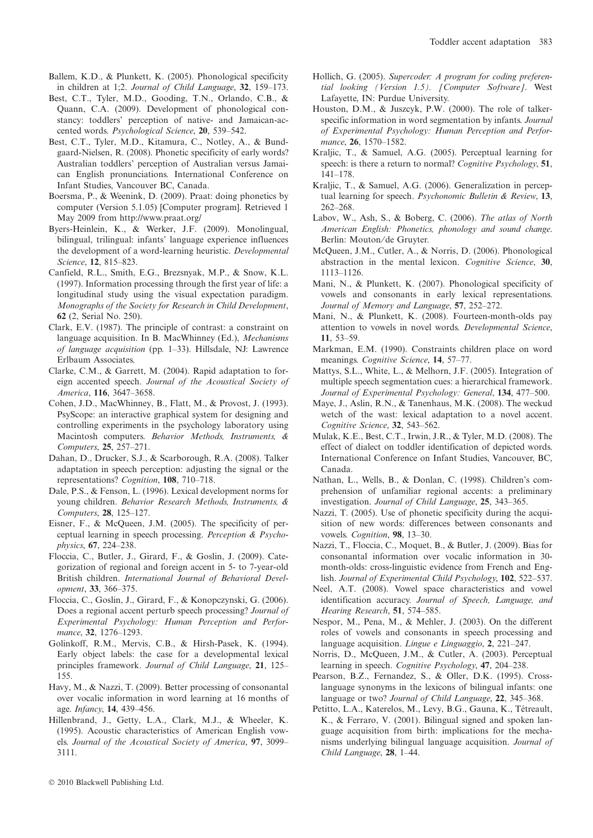Ballem, K.D., & Plunkett, K. (2005). Phonological specificity in children at 1;2. Journal of Child Language, 32, 159–173.

- Best, C.T., Tyler, M.D., Gooding, T.N., Orlando, C.B., & Quann, C.A. (2009). Development of phonological constancy: toddlers' perception of native- and Jamaican-accented words. Psychological Science, 20, 539–542.
- Best, C.T., Tyler, M.D., Kitamura, C., Notley, A., & Bundgaard-Nielsen, R. (2008). Phonetic specificity of early words? Australian toddlers' perception of Australian versus Jamaican English pronunciations. International Conference on Infant Studies, Vancouver BC, Canada.
- Boersma, P., & Weenink, D. (2009). Praat: doing phonetics by computer (Version 5.1.05) [Computer program]. Retrieved 1 May 2009 from http://www.praat.org/
- Byers-Heinlein, K., & Werker, J.F. (2009). Monolingual, bilingual, trilingual: infants' language experience influences the development of a word-learning heuristic. Developmental Science, 12, 815–823.
- Canfield, R.L., Smith, E.G., Brezsnyak, M.P., & Snow, K.L. (1997). Information processing through the first year of life: a longitudinal study using the visual expectation paradigm. Monographs of the Society for Research in Child Development, 62 (2, Serial No. 250).
- Clark, E.V. (1987). The principle of contrast: a constraint on language acquisition. In B. MacWhinney (Ed.), Mechanisms of language acquisition (pp. 1–33). Hillsdale, NJ: Lawrence Erlbaum Associates.
- Clarke, C.M., & Garrett, M. (2004). Rapid adaptation to foreign accented speech. Journal of the Acoustical Society of America, 116, 3647–3658.
- Cohen, J.D., MacWhinney, B., Flatt, M., & Provost, J. (1993). PsyScope: an interactive graphical system for designing and controlling experiments in the psychology laboratory using Macintosh computers. Behavior Methods, Instruments, & Computers, 25, 257–271.
- Dahan, D., Drucker, S.J., & Scarborough, R.A. (2008). Talker adaptation in speech perception: adjusting the signal or the representations? Cognition, 108, 710–718.
- Dale, P.S., & Fenson, L. (1996). Lexical development norms for young children. Behavior Research Methods, Instruments, & Computers, 28, 125–127.
- Eisner, F., & McQueen, J.M. (2005). The specificity of perceptual learning in speech processing. Perception & Psychophysics, 67, 224–238.
- Floccia, C., Butler, J., Girard, F., & Goslin, J. (2009). Categorization of regional and foreign accent in 5- to 7-year-old British children. International Journal of Behavioral Development, 33, 366–375.
- Floccia, C., Goslin, J., Girard, F., & Konopczynski, G. (2006). Does a regional accent perturb speech processing? Journal of Experimental Psychology: Human Perception and Performance, 32, 1276-1293.
- Golinkoff, R.M., Mervis, C.B., & Hirsh-Pasek, K. (1994). Early object labels: the case for a developmental lexical principles framework. Journal of Child Language, 21, 125– 155.
- Havy, M., & Nazzi, T. (2009). Better processing of consonantal over vocalic information in word learning at 16 months of age. Infancy, 14, 439–456.
- Hillenbrand, J., Getty, L.A., Clark, M.J., & Wheeler, K. (1995). Acoustic characteristics of American English vowels. Journal of the Acoustical Society of America, 97, 3099– 3111.
- Hollich, G. (2005). Supercoder: A program for coding preferential looking (Version 1.5). [Computer Software]. West Lafayette, IN: Purdue University.
- Houston, D.M., & Juszcyk, P.W. (2000). The role of talkerspecific information in word segmentation by infants. Journal of Experimental Psychology: Human Perception and Performance, 26, 1570–1582.
- Kraljic, T., & Samuel, A.G. (2005). Perceptual learning for speech: is there a return to normal? Cognitive Psychology, 51, 141–178.
- Kraljic, T., & Samuel, A.G. (2006). Generalization in perceptual learning for speech. Psychonomic Bulletin & Review, 13, 262–268.
- Labov, W., Ash, S., & Boberg, C. (2006). The atlas of North American English: Phonetics, phonology and sound change. Berlin: Mouton/de Gruyter.
- McQueen, J.M., Cutler, A., & Norris, D. (2006). Phonological abstraction in the mental lexicon. Cognitive Science, 30, 1113–1126.
- Mani, N., & Plunkett, K. (2007). Phonological specificity of vowels and consonants in early lexical representations. Journal of Memory and Language, 57, 252–272.
- Mani, N., & Plunkett, K. (2008). Fourteen-month-olds pay attention to vowels in novel words. Developmental Science, 11, 53–59.
- Markman, E.M. (1990). Constraints children place on word meanings. Cognitive Science, 14, 57-77.
- Mattys, S.L., White, L., & Melhorn, J.F. (2005). Integration of multiple speech segmentation cues: a hierarchical framework. Journal of Experimental Psychology: General, 134, 477–500.
- Maye, J., Aslin, R.N., & Tanenhaus, M.K. (2008). The weckud wetch of the wast: lexical adaptation to a novel accent. Cognitive Science, 32, 543–562.
- Mulak, K.E., Best, C.T., Irwin, J.R., & Tyler, M.D. (2008). The effect of dialect on toddler identification of depicted words. International Conference on Infant Studies, Vancouver, BC, Canada.
- Nathan, L., Wells, B., & Donlan, C. (1998). Children's comprehension of unfamiliar regional accents: a preliminary investigation. Journal of Child Language, 25, 343–365.
- Nazzi, T. (2005). Use of phonetic specificity during the acquisition of new words: differences between consonants and vowels. Cognition, 98, 13-30.
- Nazzi, T., Floccia, C., Moquet, B., & Butler, J. (2009). Bias for consonantal information over vocalic information in 30 month-olds: cross-linguistic evidence from French and English. Journal of Experimental Child Psychology, 102, 522–537.
- Neel, A.T. (2008). Vowel space characteristics and vowel identification accuracy. Journal of Speech, Language, and Hearing Research, 51, 574–585.
- Nespor, M., Pena, M., & Mehler, J. (2003). On the different roles of vowels and consonants in speech processing and language acquisition. Lingue e Linguaggio, 2, 221–247.
- Norris, D., McQueen, J.M., & Cutler, A. (2003). Perceptual learning in speech. Cognitive Psychology, 47, 204–238.
- Pearson, B.Z., Fernandez, S., & Oller, D.K. (1995). Crosslanguage synonyms in the lexicons of bilingual infants: one language or two? Journal of Child Language, 22, 345–368.
- Petitto, L.A., Katerelos, M., Levy, B.G., Gauna, K., Tétreault, K., & Ferraro, V. (2001). Bilingual signed and spoken language acquisition from birth: implications for the mechanisms underlying bilingual language acquisition. Journal of Child Language, 28, 1–44.